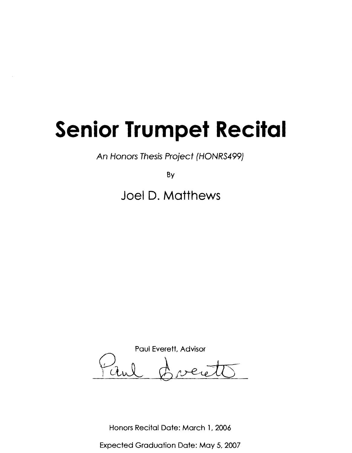## **Senior Trumpet Recital**

An Honors Thesis Project (HONRS499)

By

## **Joel D. Matthews**

Paul Everett, Advisor and drew

Honors Recital Date: March 1, 2006

Expected Graduation Date: May 5,2007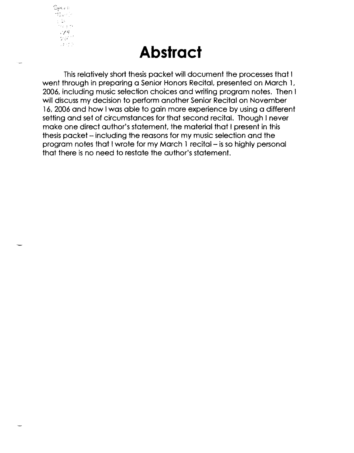

## **Abstract**

This relatively short thesis packet will document the processes that I went through in preparing a Senior Honors Recital, presented on March 1, 2006, including music selection choices and writing program notes. Then I will discuss my decision to perform another Senior Recital on November 16, 2006 and how I was able to gain more experience by using a different setting and set of circumstances for that second recital. Though I never make one direct author's statement, the material that I present in this thesis packet – including the reasons for my music selection and the program notes that I wrote for my March 1 recital- is so highly personal that there is no need to restate the author's statement.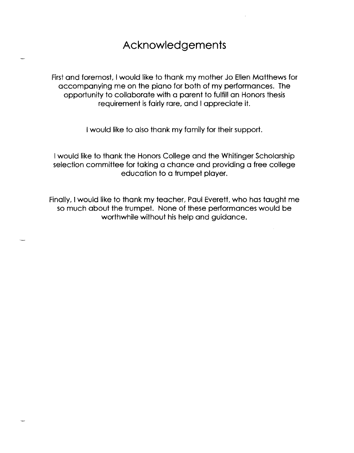## **Acknowledgements**

First and foremost, I would like to thank my mother Jo Ellen Matthews for accompanying me on the piano for both of my performances. The opportunity to collaborate with a parent to fulfill an Honors thesis requirement is fairly rare, and I appreciate it.

I would like to also thank my family for their support.

I would like to thank the Honors College and the Whitinger Scholarship selection committee for taking a chance and providing a free college education to a trumpet player.

Finally, I would like to thank my teacher, Paul Everett, who has taught me so much about the trumpet. None of these performances would be worthwhile without his help and guidance.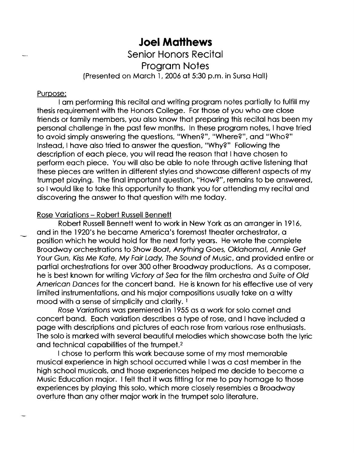## **Joel Matthews**

## Senior Honors Recital Program Notes (Presented on March 1,2006 at 5:30 p.m. in Sursa Hall)

### Purpose:

I am performing this recital and writing program notes partially to fulfill my thesis requirement with the Honors College. For those of you who are close friends or family members, you also know that preparing this recital has been my personal challenge in the past few months. In these program notes, I have tried to avoid simply answering the questions, "When?", "Where?", and "Who?" Instead, I have also tried to answer the question, "Why?" Following the description of each piece, you will read the reason that I have chosen to perform each piece. You will also be able to note through active listening that these pieces are written in different styles and showcase different aspects of my trumpet playing. The final important question, "How?", remains to be answered, so I would like to take this opportunity to thank you for attending my recital and discovering the answer to that question with me today.

#### Rose Variations - Robert Russell Bennett

Robert Russell Bennett went to work in New York as an arranger in 1916, and in the 1920's he became America's foremost theater orchestrator, a position which he would hold for the next forty years. He wrote the complete Broadway orchestrations to Show Boat, Anything Goes, Oklahoma!, Annie Get Your Gun, Kiss Me Kate, My Fair Lady, The Sound of Music, and provided entire or partial orchestrations for over 300 other Broadway productions. As a composer, he is best known for writing Victory at Sea for the film orchestra and Suite of Old American Dances for the concert band. He is known for his effective use of very limited instrumentations, and his major compositions usually take on a witty mood with a sense of simplicity and clarity. I

Rose Variations was premiered in 1955 as a work for solo cornet and concert band. Each variation describes a type of rose, and I have included a page with descriptions and pictures of each rose from various rose enthusiasts. The solo is marked with several beautiful melodies which showcase both the lyric and technical capabilities of the trumpet.<sup>2</sup>

I chose to perform this work because some of my most memorable musical experience in high school occurred while I was a cast member in the high school musicals, and those experiences helped me decide to become a Music Education major. I felt that it was fitting for me to pay homage to those experiences by playing this solo, which more closely resembles a Broadway overture than any other major work in the trumpet solo literature.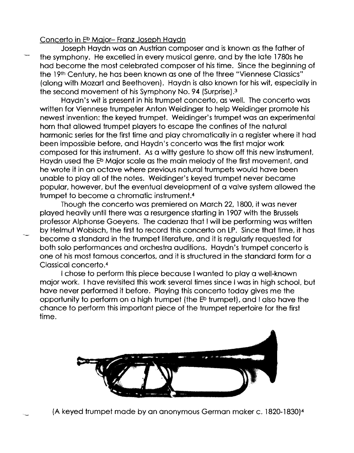### Concerto in Eb Major- Franz Joseph Haydn

Joseph Haydn was an Austrian composer and is known as the father of the symphony. He excelled in every musical genre, and by the late 1780s he had become the most celebrated composer of his time. Since the beginning of the 19th Century, he has been known as one of the three "Viennese Classics" (along with Mozart and Beethoven). Haydn is also known for his wit, especially in the second movement of his Symphony No. 94 (Surprise).3

Haydn's wit is present in his trumpet concerto, as well. The concerto was written for Viennese trumpeter Anton Weidinger to help Weidinger promote his newest invention: the keyed trumpet. Weidinger's trumpet was an experimental horn that allowed trumpet players to escape the confines of the natural harmonic series for the first time and play chromatically in a register where it had been impossible before, and Haydn's concerto was the first major work composed for this instrument. As a witty gesture to show off this new instrument, Haydn used the Eb Major scale as the main melody of the first movement, and he wrote it in an octave where previous natural trumpets would have been unable to play all of the notes. Weidinger's keyed trumpet never became popular, however, but the eventual development of a valve system allowed the trumpet to become a chromatic instrument.4

Though the concerto was premiered on March 22, 1800, it was never played heavily until there was a resurgence starting in 1907 with the Brussels professor Alphonse Goeyens. The cadenza that I will be performing was written by Helmut Wobisch, the first to record this concerto on LP. Since that time, it has become a standard in the trumpet literature, and it is regularly requested for both solo performances and orchestra auditions. Haydn's trumpet concerto is one of his most famous concertos, and it is structured in the standard form for a Classical concerto.4

I chose to perform this piece because I wanted to play a well-known major work. I have revisited this work several times since I was in high school, but have never performed it before. Playing this concerto today gives me the opportunity to perform on a high trumpet (the Eb trumpet), and I also have the chance to perform this important piece of the trumpet repertoire for the first time.



(A keyed trumpet made by an anonymous German maker c. 1820-1830)4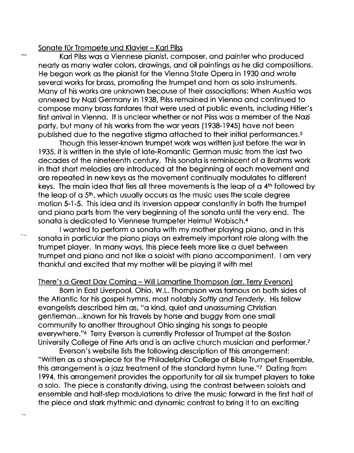### Sonate für Trompete und Klavier - Karl Pilss

Karl Pilss was a Viennese pianist, composer, and painter who produced nearly as many water colors, drawings, and oil paintings as he did compositions. He began work as the pianist for the Vienna State Opera in 1930 and wrote several works for brass, promoting the trumpet and horn as solo instruments. Many of his works are unknown because of their associations: When Austria was annexed by Nazi Germany in 1938, Pilss remained in Vienna and continued to compose many brass fanfares that were used at public events, including Hitler's first arrival in Vienna. It is unclear whether or not Pilss was a member of the Nazi party, but many of his works from the war years (1938-1945) have not been published due to the negative stigma attached to their initial performances.<sup>5</sup>

Though this lesser-known trumpet work was written just before the war in 1935, it is written in the style of late-Romantic German music from the last two decades of the nineteenth century. This sonata is reminiscent of a Brahms work in that short melodies are introduced at the beginning of each movement and are repeated in new keys as the movement continually modulates to different keys. The main idea that ties all three movements is the leap of a 4th followed by the leap of a 5<sup>th</sup>, which usually occurs as the music uses the scale degree motion 5-1-5. This idea and its inversion appear constantly in both the trumpet and piano parts from the very beginning of the sonata until the very end. The sonata is dedicated to Viennese trumpeter Helmut Wobisch.<sup>4</sup>

I wanted to perform a sonata with my mother playing piano, and in this sonata in particular the piano plays an extremely important role along with the trumpet player. In many ways, this piece feels more like a duet between trumpet and piano and not like a soloist with piano accompaniment. I am very thankful and excited that my mother will be playing it with me!

#### There's a Great Day Coming - Will Lamartine Thompson (arr. Terry Everson)

Born in East Liverpool, Ohio, W.L. Thompson was famous on both sides of the Atlantic for his gospel hymns, most notably Softly and Tenderly. His fellow evangelists described him as, "a kind, quiet and unassuming Christian gentleman... known for his travels by horse and buggy from one small community to another throughout Ohio singing his songs to people everywhere."<sup>6</sup> Terry Everson is currently Professor of Trumpet at the Boston University College of Fine Arts and is an active church musician and performer.<sup>7</sup>

Everson's website lists the following description of this arrangement: "Written as a showpiece for the Philadelphia College of Bible Trumpet Ensemble, this arrangement is a jazz treatment of the standard hymn tune."7 Dating from 1994, this arrangement provides the opportunity for all six trumpet players to take a solo. The piece is constantly driving, using the contrast between soloists and ensemble and half-step modulations to drive the music forward in the first half of the piece and stark rhythmic and dynamic contrast to bring it to an exciting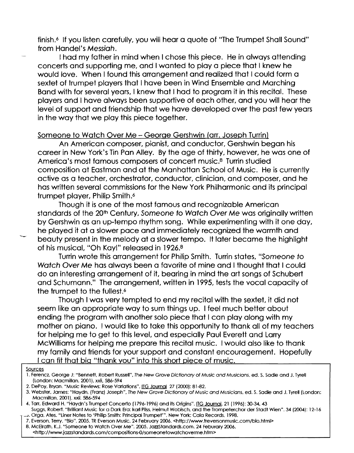finish.6 If you listen carefully, you will hear a quote of "The Trumpet Shall Sound" from Handel's Messiah.

I had my father in mind when I chose this piece. He in always attending concerts and supporting me, and I wanted to playa piece that I knew he would love. When I found this arrangement and realized that I could form a sextet of trumpet players that I have been in Wind Ensemble and Marching Band with for several years, I knew that I had to program it in this recital. These players and I have always been supportive of each other, and you will hear the level of support and friendship that we have developed over the past few years in the way that we play this piece together.

### Someone to Watch Over Me - George Gershwin (arr. Joseph Turrin)

An American composer, pianist, and conductor, Gershwin began his career in New York's Tin Pan Alley. By the age of thirty, however, he was one of America's most famous composers of concert music.8 Turrin studied composition at Eastman and at the Manhattan School of Music. He is currently active as a teacher, orchestrator, conductor, clinician, and composer, and he has written several commissions for the New York Philharmonic and its principal trumpet player, Philip Smith.6

Though it is one of the most famous and recognizable American standards of the 20<sup>th</sup> Century, Someone to Watch Over Me was originally written by Gershwin as an up-tempo rhythm song. While experimenting with it one day, he played it at a slower pace and immediately recognized the warmth and beauty present in the melody at a slower tempo. It later became the highlight of his musical, "Oh Kayl" released in 1926.8

Turrin wrote this arrangement for Philip Smith. Turrin states, "Someone to Watch Over Me has always been a favorite of mine and I thought that I could do an interesting arrangement of it, bearing in mind the art songs of Schubert and Schumann." The arrangement, written in 1995, tests the vocal capacity of the trumpet to the fullest.<sup>6</sup>

Though I was very tempted to end my recital with the sextet, it did not seem like an appropriate way to sum things up. I feel much better about ending the program with another solo piece that I can play along with my mother on piano. I would like to take this opportunity to thank all of my teachers for helping me to get to this level, and especially Paul Everett and Larry McWilliams for helping me prepare this recital music. I would also like to thank my family and friends for your support and constant encouragement. Hopefully <u>I can fit that big "thank you" into this short piece of music.</u><br>Sources<br>I Ference George Lifeenett Bobet Burelli: The New Grove Dictionary of Music and Musi

--

<sup>1.</sup> Ferencz, George J: "Bennett, Robert Russell", The New Grove Dictionary of Music and Musicians, ed. S. Sadie and J. Tyrell (London: Macmillan, 2001). xxii, 586-594

<sup>2.</sup> DePoy. Bryan. "Music Reviews: Rose Variations".ITG Journal 27 (2000): 81-82.

<sup>3.</sup> Webster. James: "Haydn, (Franz) Joseph". The New Grove Dictionary of Music and Musicians, ed. S. Sadie and J. Tyrell (London: Macmillan, 2001), xxii, 586-594

<sup>4.</sup> Tarr, Edward H. "Haydn's Trumpet Concerto (1796-1996) and its Origins". ITG Journal. 21 (1996): 30-34, 43 Suggs, Robert. "Brilliant Music for a Dark Era: karl Pilss, Helmut Wobisch, and the Trompeterchor der Stadt Wien". 34 (2004J: 12-16

*<sup>,...</sup>J.* Orga, Ates. "Liner Notes to 'Philip Smith: Principal Trumpet· ... New York: Cala Records, 1998.

<sup>7.</sup> Everson, Terry. "Bio". *2005.* TR Everson Music. 24 February 2006. <http://www.treversonmusic.com/bio.html>

<sup>8.</sup> McElrath, K.J. "Someone to Watch Over Me". 2005. JazzStandards.com. 24 Feburary 2006.

<sup>&</sup>lt;http://www.jazzstandards.com/compositions-0/someonetowatchoverme.htm>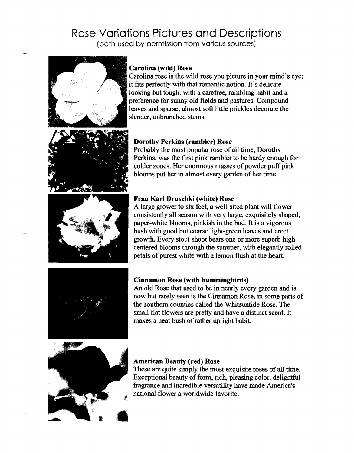## Rose Variations Pictures and Descriptions

(both used by permission from various sources)





## Carolina (wild) Rose

Carolina rose is the wild rose you picture in your mind's eye; it fits perfectly with that romantic notion. It's delicatelooking but tough, with a carefree, rambling habit and a preference for sunny old fields and pastures. Compound leaves and sparse, almost soft little prickles decorate the slender, unbranched stems.

#### Dorothy Perkins (rambler) Rose

Probably the most popular rose of all time, Dorothy Perkins, was the first pink rambler to be hardy enough for colder zones. Her enormous masses of powder puff pink blooms put her in almost every garden of her time.

### Frau Karl Druschki (white) Rose

A large grower to six feet, a well-sited plant will flower consistently all season with very large, exquisitely shaped, paper-white blooms, pinkish in the bud. It is a vigorous bush with good but coarse light-green leaves and erect growth. Every stout shoot bears one or more superb high centered blooms through the summer, with elegantly rolled petals of purest white with a lemon flush at the heart.



#### Cinnamon Rose (with hummingbirds)

An old Rose that used to be in nearly every garden and is now but rarely seen is the Cinnamon Rose, in some parts of the southern counties called the Whitsuntide Rose. The small flat flowers are pretty and have a distinct scent. It makes a neat bush of rather upright habit.



#### American Beauty (red) Rose

These are quite simply the most exquisite roses of all time. Exceptional beauty of form, rich, pleasing color, delightful fragrance and incredible versatility have made America's national flower a worldwide favorite.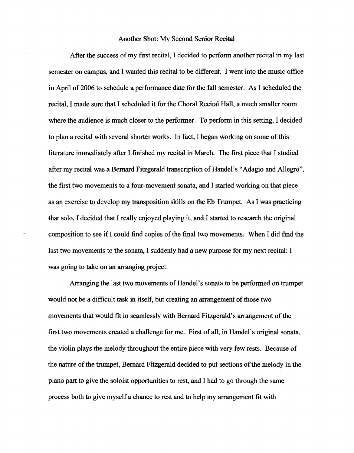#### Another Shot: My Second Senior Recital

After the success of my first recital, I decided to perform another recital in my last semester on campus, and I wanted this recital to be different. I went into the music office in April of 2006 to schedule a performance date for the fall semester. As I scheduled the recital, I made sure that I scheduled it for the Choral Recital Hall, a much smaller room where the audience is much closer to the performer. To perform in this setting, I decided to plan a recital with several shorter works. In fact, I began working on some of this literature immediately after I finished my recital in March. The first piece that I studied after my recital was a Bernard Fitzgerald transcription of Handel's" Adagio and Allegro", the first two movements to a four-movement sonata, and I started working on that piece as an exercise to develop my transposition skills on the Eb Trumpet. As I was practicing that solo, I decided that I really enjoyed playing it, and I started to research the original composition to see if I could find copies of the final two movements. When I did find the last two movements to the sonata, I suddenly had a new purpose for my next recital: I was going to take on an arranging project.

Arranging the last two movements of Handel's sonata to be performed on trumpet would not be a difficult task in itself, but creating an arrangement of those two movements that would fit in seamlessly with Bernard Fitzgerald's arrangement of the first two movements created a challenge for me. First of all, in Handel's original sonata, the violin plays the melody throughout the entire piece with very few rests. Because of the nature of the trumpet, Bernard Fitzgerald decided to put sections of the melody in the piano part to give the soloist opportunities to rest, and I had to go through the same process both to give myself a chance to rest and to help my arrangement fIt with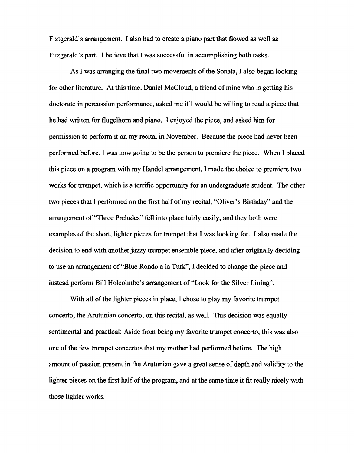Fiztgerald's arrangement. I also had to create a piano part that flowed as well as Fitzgerald's part. I believe that I was successful in accomplishing both tasks.

As I was arranging the final two movements of the Sonata, I also began looking for other literature. At this time, Daniel McCloud, a friend of mine who is getting his doctorate in percussion perfonnance, asked me if I would be willing to read a piece that he had written for flugelhom and piano. I enjoyed the piece, and asked him for pennission to perform it on my recital in November. Because the piece had never been perfonned before, I was now going to be the person to premiere the piece. When I placed this piece on a program with my Handel arrangement, I made the choice to premiere two works for trumpet, which is a terrific opportunity for an undergraduate student. The other two pieces that I performed on the first half of my recital, "Oliver's Birthday" and the arrangement of "Three Preludes" fell into place fairly easily, and they both were examples of the short, lighter pieces for trumpet that I was looking for. I also made the decision to end with another jazzy trumpet ensemble piece, and after originally deciding to use an arrangement of "Blue Rondo a la Turk", I decided to change the piece and instead perfonn Bill Holcolmbe's arrangement of "Look for the Silver Lining".

With all of the lighter pieces in place, I chose to play my favorite trumpet concerto, the Arutunian concerto, on this recital, as well. This decision was equally sentimental and practical: Aside from being my favorite trumpet concerto, this was also one of the few trumpet concertos that my mother had perfonned before. The high amount of passion present in the Arutunian gave a great sense of depth and validity to the lighter pieces on the first half of the program, and at the same time it fit really nicely with those lighter works.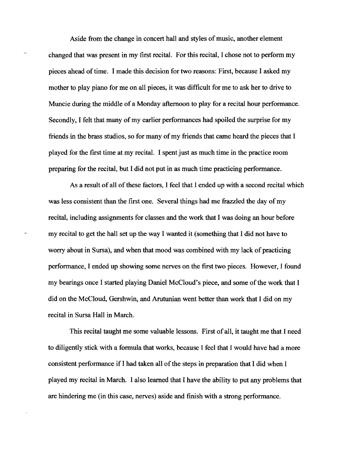Aside from the change in concert hall and styles of music, another element changed that was present in my first recital. For this recital, I chose not to perform my pieces ahead of time. I made this decision for two reasons: First, because I asked my mother to play piano for me on all pieces, it was difficult for me to ask her to drive to Muncie during the middle of a Monday afternoon to play for a recital hour performance. Secondly, I felt that many of my earlier performances had spoiled the surprise for my friends in the brass studios, so for many of my friends that came heard the pieces that I played for the first time at my redtal. I spent just as much time in the practice room preparing for the recital, but I did not put in as much time practicing performance.

As a result of all of these factors, I feel that I ended up with a second recital which was less consistent than the first one. Several things had me frazzled the day of my recital, including assignments for classes and the work that I was doing an hour before my recital to get the hall set up the way I wanted it (something that I did not have to worry about in Sursa), and when that mood was combined with my lack of practicing performance, I ended up showing some nerves on the first two pieces. However, I found my bearings once I started playing Daniel McCloud's piece, and some of the work that I did on the McCloud, Gershwin, and Arutunian went better than work that I did on my recital in Sursa Hall in March.

This recital taught me some valuable lessons. First of all, it taught me that I need to diligently stick with a formula that works, because I feel that I would have had a more consistent performance if I had taken all of the steps in preparation that I did when I played my redtal in March. I also learned that I have the ability to put any problems that are hindering me (in this case, nerves) aside and fmish with a strong performance.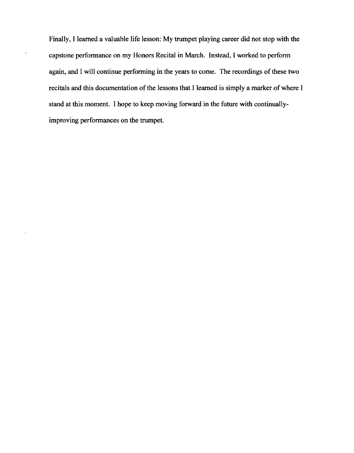Finally, I learned a valuable life lesson: My trumpet playing career did not stop with the capstone perfonnance on my Honors Recital in March. Instead, I worked to perfonn again, and I will continue perfonning in the years to come. The recordings of these two recitals and this documentation of the lessons that I learned is simply a marker of where I stand at this moment. I hope to keep moving forward in the future with continuallyimproving perfonnances on the trumpet.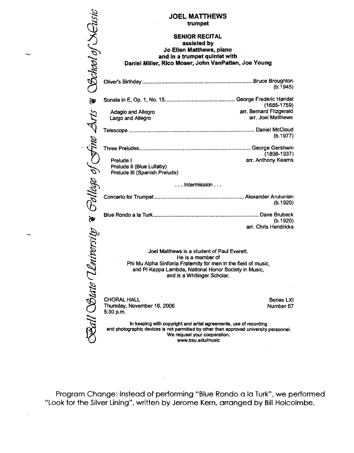| Sochool of Seusic      | <b>JOEL MATTHEWS</b><br>trumpet                                                                                                                                                                                  |  |  |
|------------------------|------------------------------------------------------------------------------------------------------------------------------------------------------------------------------------------------------------------|--|--|
|                        | <b>SENIOR RECITAL</b>                                                                                                                                                                                            |  |  |
|                        | assisted by<br>Jo Ellen Matthews, piano                                                                                                                                                                          |  |  |
|                        | and in a trumpet quintet with<br>Daniel Miller, Rico Moser, John VanPatten, Joe Young                                                                                                                            |  |  |
|                        | (b.1945)                                                                                                                                                                                                         |  |  |
| ىئ                     | $(1685 - 1759)$                                                                                                                                                                                                  |  |  |
|                        | arr. Bernard Fitzgerald<br>Adagio and Allegro<br>arr. Joel Matthews<br>Largo and Allegro                                                                                                                         |  |  |
|                        | (b.1977)                                                                                                                                                                                                         |  |  |
|                        | $(1898 - 1937)$                                                                                                                                                                                                  |  |  |
| a Sollege of Sine Arts | arr. Anthony Keams<br>Prelude I<br>Prelude II (Blue Lullaby)<br>Prelude III (Spanish Prelude)                                                                                                                    |  |  |
|                        | $\ldots$ Intermission $\ldots$                                                                                                                                                                                   |  |  |
|                        | (b.1920)                                                                                                                                                                                                         |  |  |
|                        | (b.1920)<br>arr. Chris Hendricks                                                                                                                                                                                 |  |  |
| Lniversity             |                                                                                                                                                                                                                  |  |  |
|                        | Joel Matthews is a student of Paul Everett.                                                                                                                                                                      |  |  |
|                        | He is a member of<br>Phi Mu Alpha Sinfonia Fraternity for men in the field of music,<br>and Pi Kappa Lambda, National Honor Society in Music,<br>and is a Whitinger Scholar.                                     |  |  |
|                        |                                                                                                                                                                                                                  |  |  |
| Ball Sotate            | <b>CHORAL HALL</b><br>Series LXI<br>Thursday, November 16, 2006<br>Number 67<br>5:30 p.m.                                                                                                                        |  |  |
|                        | In keeping with copyright and artist agreements, use of recording<br>and photographic devices is not permitted by other than approved university personnel.<br>We request your cooperation.<br>www.bsu.edu/music |  |  |

-

Program Change: Instead of performing "Blue Rondo a la Turk", we performed "Look for the Silver Lining", written by Jerome Kern, arranged by Bill Holcolmbe.

 $\bar{\phantom{a}}$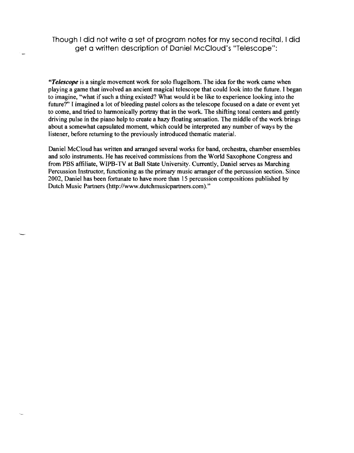Though I did not write a set of program notes for my second recital, I did get a written description of Daniel McCloud's "Telescope":

*"Telescope* is a single movement work for solo flugelhorn. The idea for the work came when playing a game that involved an ancient magical telescope that could look into the future. I began to imagine. "what if such a thing existed? What would it be like to experience looking into the future?" I imagined a lot of bleeding pastel colors as the telescope focused on a date or event yet to come, and tried to harmonically portray that in the work. The shifting tonal centers and gently driving pulse in the piano help to create a hazy floating sensation. The middle of the work brings about a somewhat capsulated moment, which could be interpreted any number of ways by the listener. before returning to the previously introduced thematic material.

Daniel McCloud has written and arranged several works for band, orchestra, chamber ensembles and solo instruments. He has received commissions from the World Saxophone Congress and from PBS affiliate, WIPB-TV at Ball State University. Currently, Daniel serves as Marching Percussion Instructor. functioning as the primary music arranger of the percussion section. Since 2002. Daniel has been fortunate to have more than 15 percussion compositions published by Dutch Music Partners (http://www.dutchmusicpartners.com)."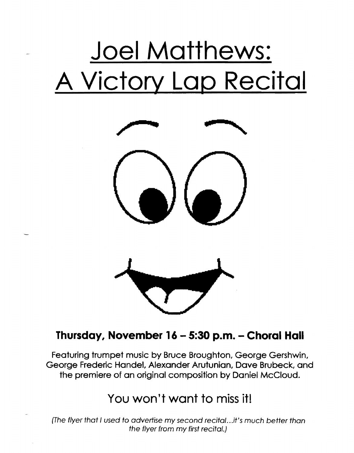# **Joel Matthews: A Victory Lap Recital**



## **Thursday, November 16 - 5:30 p.m. - Choral Hall**

Featuring trumpet music by Bruce Broughton, George Gershwin, George Frederic Handel, Alexander Arutunian, Dave Brubeck, and the premiere of an original composition by Daniel McCloud.

## **You won't want to miss it!**

(The flyer that I used to advertise my second recital...it's much better than the flyer from my first recital.)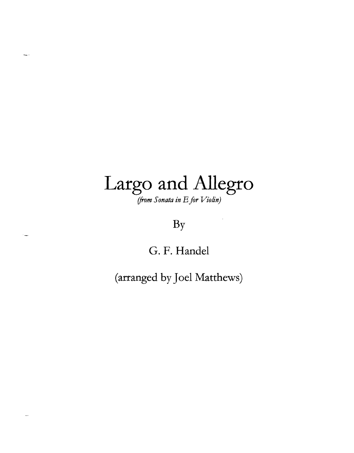## Largo and Allegro

 $\frac{1}{2}$ 

*(from Sonata in E for Violin)* 

By

G. F. Handel

(arranged by Joel Matthews)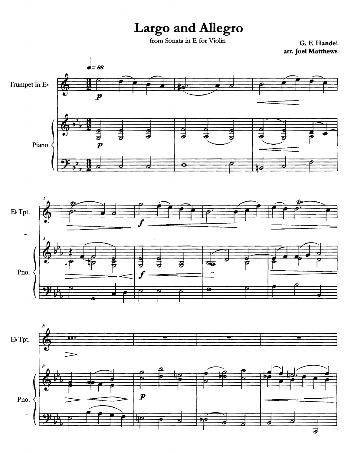Largo and Allegro

from Sonata in E for Violin

G. F. Handel arr. Joel Matthews





 $\overline{\mathbf{e}}$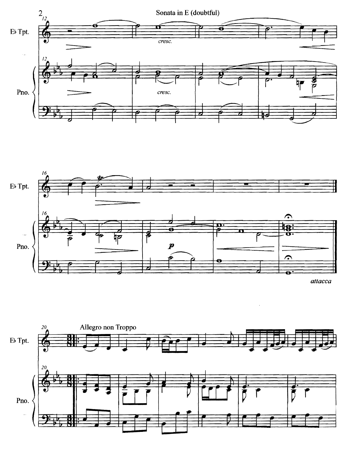



attacca

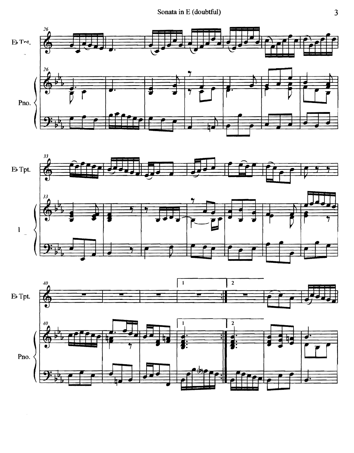



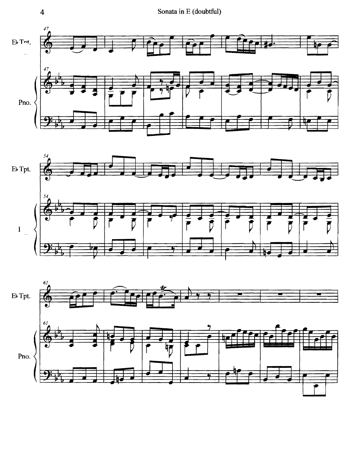Sonata in E (doubtful)







 $\overline{\mathbf{A}}$